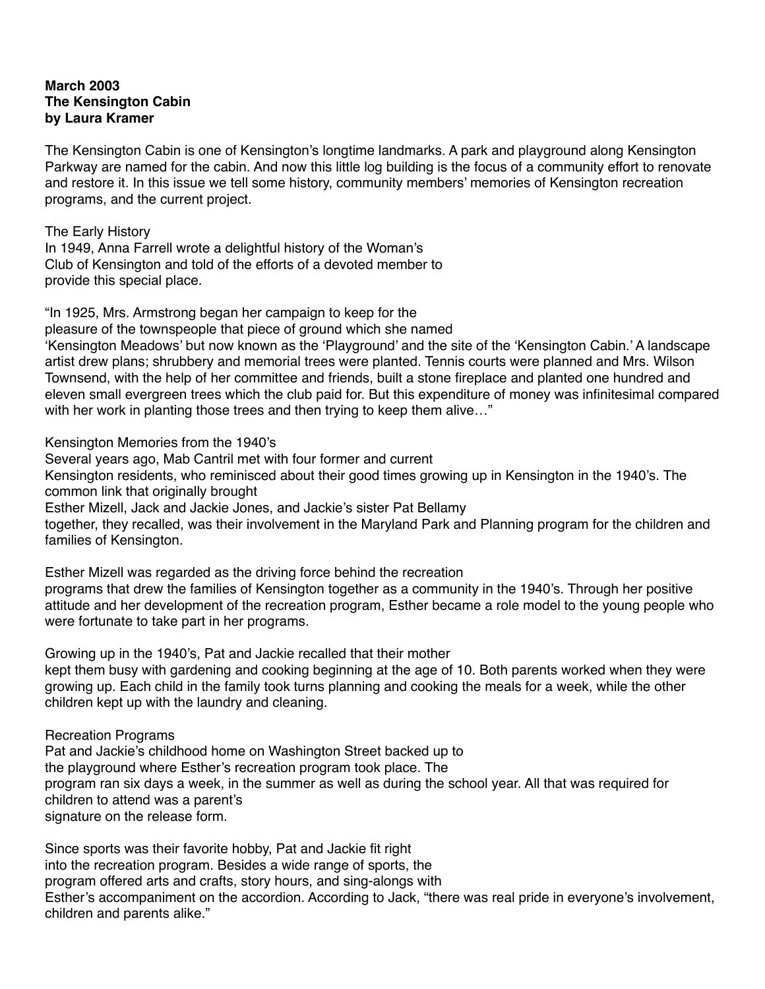## **March 2003 The Kensington Cabin by Laura Kramer**

The Kensington Cabin is one of Kensington's longtime landmarks. A park and playground along Kensington Parkway are named for the cabin. And now this little log building is the focus of a community effort to renovate and restore it. In this issue we tell some history, community members' memories of Kensington recreation programs, and the current project.

The Early History In 1949, Anna Farrell wrote a delightful history of the Woman's Club of Kensington and told of the efforts of a devoted member to provide this special place.

"In 1925, Mrs. Armstrong began her campaign to keep for the pleasure of the townspeople that piece of ground which she named 'Kensington Meadows' but now known as the 'Playground' and the site of the 'Kensington Cabin.' A landscape artist drew plans; shrubbery and memorial trees were planted. Tennis courts were planned and Mrs. Wilson Townsend, with the help of her committee and friends, built a stone fireplace and planted one hundred and eleven small evergreen trees which the club paid for. But this expenditure of money was infinitesimal compared with her work in planting those trees and then trying to keep them alive..."

Kensington Memories from the 1940's

Several years ago, Mab Cantril met with four former and current

Kensington residents, who reminisced about their good times growing up in Kensington in the 1940's. The common link that originally brought

Esther Mizell, Jack and Jackie Jones, and Jackie's sister Pat Bellamy

together, they recalled, was their involvement in the Maryland Park and Planning program for the children and families of Kensington.

Esther Mizell was regarded as the driving force behind the recreation programs that drew the families of Kensington together as a community in the 1940's. Through her positive attitude and her development of the recreation program, Esther became a role model to the young people who were fortunate to take part in her programs.

Growing up in the 1940's, Pat and Jackie recalled that their mother kept them busy with gardening and cooking beginning at the age of 10. Both parents worked when they were growing up. Each child in the family took turns planning and cooking the meals for a week, while the other children kept up with the laundry and cleaning.

Recreation Programs

Pat and Jackie's childhood home on Washington Street backed up to the playground where Esther's recreation program took place. The program ran six days a week, in the summer as well as during the school year. All that was required for children to attend was a parent's signature on the release form.

Since sports was their favorite hobby, Pat and Jackie fit right into the recreation program. Besides a wide range of sports, the program offered arts and crafts, story hours, and sing-alongs with Esther's accompaniment on the accordion. According to Jack, "there was real pride in everyone's involvement, children and parents alike."